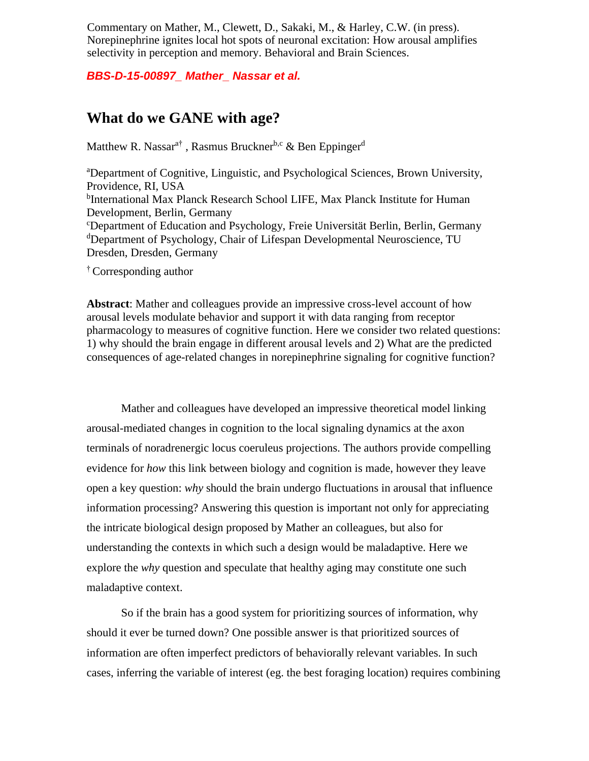Commentary on Mather, M., Clewett, D., Sakaki, M., & Harley, C.W. (in press). Norepinephrine ignites local hot spots of neuronal excitation: How arousal amplifies selectivity in perception and memory. Behavioral and Brain Sciences.

*BBS-D-15-00897\_ Mather\_ Nassar et al.*

## **What do we GANE with age?**

Matthew R. Nassar<sup>a†</sup>, Rasmus Bruckner<sup>b,c</sup> & Ben Eppinger<sup>d</sup>

<sup>a</sup>Department of Cognitive, Linguistic, and Psychological Sciences, Brown University, Providence, RI, USA <sup>b</sup>International Max Planck Research School LIFE, Max Planck Institute for Human Development, Berlin, Germany <sup>c</sup>Department of Education and Psychology, Freie Universität Berlin, Berlin, Germany <sup>d</sup>Department of Psychology, Chair of Lifespan Developmental Neuroscience, TU Dresden, Dresden, Germany

† Corresponding author

**Abstract**: Mather and colleagues provide an impressive cross-level account of how arousal levels modulate behavior and support it with data ranging from receptor pharmacology to measures of cognitive function. Here we consider two related questions: 1) why should the brain engage in different arousal levels and 2) What are the predicted consequences of age-related changes in norepinephrine signaling for cognitive function?

Mather and colleagues have developed an impressive theoretical model linking arousal-mediated changes in cognition to the local signaling dynamics at the axon terminals of noradrenergic locus coeruleus projections. The authors provide compelling evidence for *how* this link between biology and cognition is made, however they leave open a key question: *why* should the brain undergo fluctuations in arousal that influence information processing? Answering this question is important not only for appreciating the intricate biological design proposed by Mather an colleagues, but also for understanding the contexts in which such a design would be maladaptive. Here we explore the *why* question and speculate that healthy aging may constitute one such maladaptive context.

So if the brain has a good system for prioritizing sources of information, why should it ever be turned down? One possible answer is that prioritized sources of information are often imperfect predictors of behaviorally relevant variables. In such cases, inferring the variable of interest (eg. the best foraging location) requires combining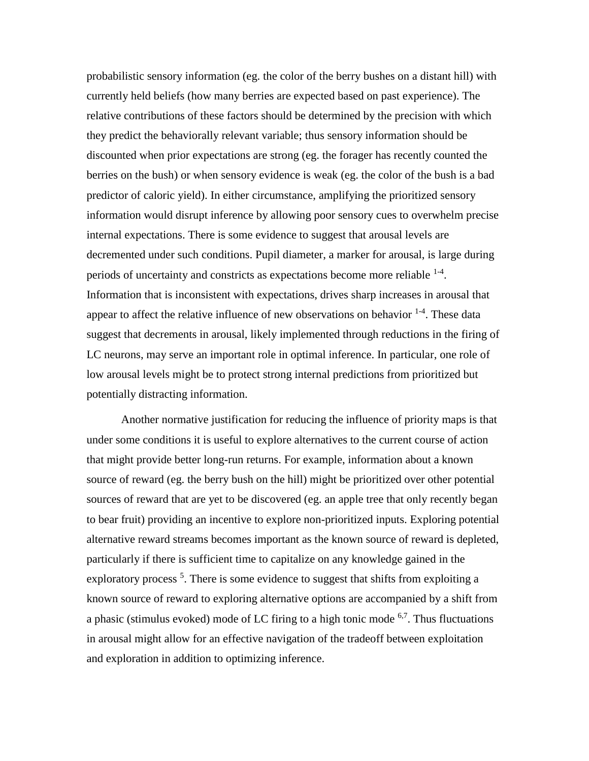probabilistic sensory information (eg. the color of the berry bushes on a distant hill) with currently held beliefs (how many berries are expected based on past experience). The relative contributions of these factors should be determined by the precision with which they predict the behaviorally relevant variable; thus sensory information should be discounted when prior expectations are strong (eg. the forager has recently counted the berries on the bush) or when sensory evidence is weak (eg. the color of the bush is a bad predictor of caloric yield). In either circumstance, amplifying the prioritized sensory information would disrupt inference by allowing poor sensory cues to overwhelm precise internal expectations. There is some evidence to suggest that arousal levels are decremented under such conditions. Pupil diameter, a marker for arousal, is large during periods of uncertainty and constricts as expectations become more reliable  $1-4$ . Information that is inconsistent with expectations, drives sharp increases in arousal that appear to affect the relative influence of new observations on behavior  $1-4$ . These data suggest that decrements in arousal, likely implemented through reductions in the firing of LC neurons, may serve an important role in optimal inference. In particular, one role of low arousal levels might be to protect strong internal predictions from prioritized but potentially distracting information.

Another normative justification for reducing the influence of priority maps is that under some conditions it is useful to explore alternatives to the current course of action that might provide better long-run returns. For example, information about a known source of reward (eg. the berry bush on the hill) might be prioritized over other potential sources of reward that are yet to be discovered (eg. an apple tree that only recently began to bear fruit) providing an incentive to explore non-prioritized inputs. Exploring potential alternative reward streams becomes important as the known source of reward is depleted, particularly if there is sufficient time to capitalize on any knowledge gained in the exploratory process<sup>5</sup>. There is some evidence to suggest that shifts from exploiting a known source of reward to exploring alternative options are accompanied by a shift from a phasic (stimulus evoked) mode of LC firing to a high tonic mode  $6,7$ . Thus fluctuations in arousal might allow for an effective navigation of the tradeoff between exploitation and exploration in addition to optimizing inference.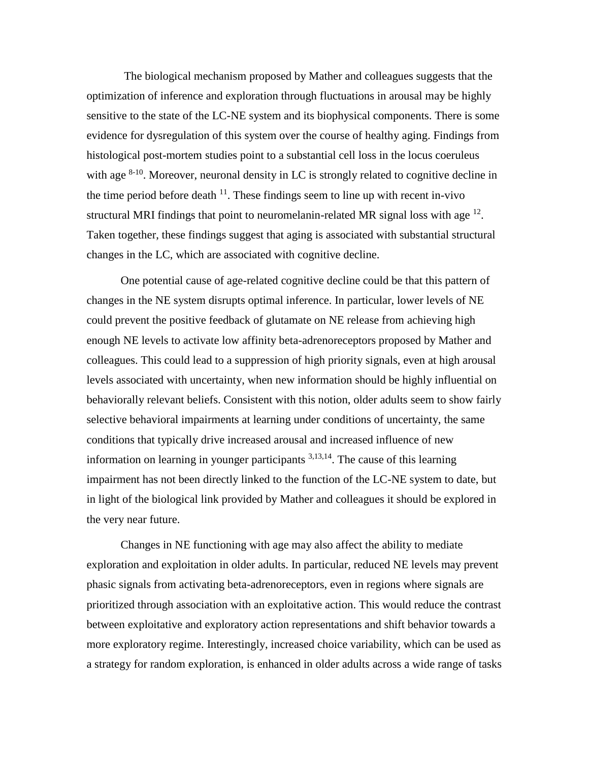The biological mechanism proposed by Mather and colleagues suggests that the optimization of inference and exploration through fluctuations in arousal may be highly sensitive to the state of the LC-NE system and its biophysical components. There is some evidence for dysregulation of this system over the course of healthy aging. Findings from histological post-mortem studies point to a substantial cell loss in the locus coeruleus with age  $8-10$ . Moreover, neuronal density in LC is strongly related to cognitive decline in the time period before death  $11$ . These findings seem to line up with recent in-vivo structural MRI findings that point to neuromelanin-related MR signal loss with age  $^{12}$ . Taken together, these findings suggest that aging is associated with substantial structural changes in the LC, which are associated with cognitive decline.

One potential cause of age-related cognitive decline could be that this pattern of changes in the NE system disrupts optimal inference. In particular, lower levels of NE could prevent the positive feedback of glutamate on NE release from achieving high enough NE levels to activate low affinity beta-adrenoreceptors proposed by Mather and colleagues. This could lead to a suppression of high priority signals, even at high arousal levels associated with uncertainty, when new information should be highly influential on behaviorally relevant beliefs. Consistent with this notion, older adults seem to show fairly selective behavioral impairments at learning under conditions of uncertainty, the same conditions that typically drive increased arousal and increased influence of new information on learning in younger participants  $3,13,14$ . The cause of this learning impairment has not been directly linked to the function of the LC-NE system to date, but in light of the biological link provided by Mather and colleagues it should be explored in the very near future.

Changes in NE functioning with age may also affect the ability to mediate exploration and exploitation in older adults. In particular, reduced NE levels may prevent phasic signals from activating beta-adrenoreceptors, even in regions where signals are prioritized through association with an exploitative action. This would reduce the contrast between exploitative and exploratory action representations and shift behavior towards a more exploratory regime. Interestingly, increased choice variability, which can be used as a strategy for random exploration, is enhanced in older adults across a wide range of tasks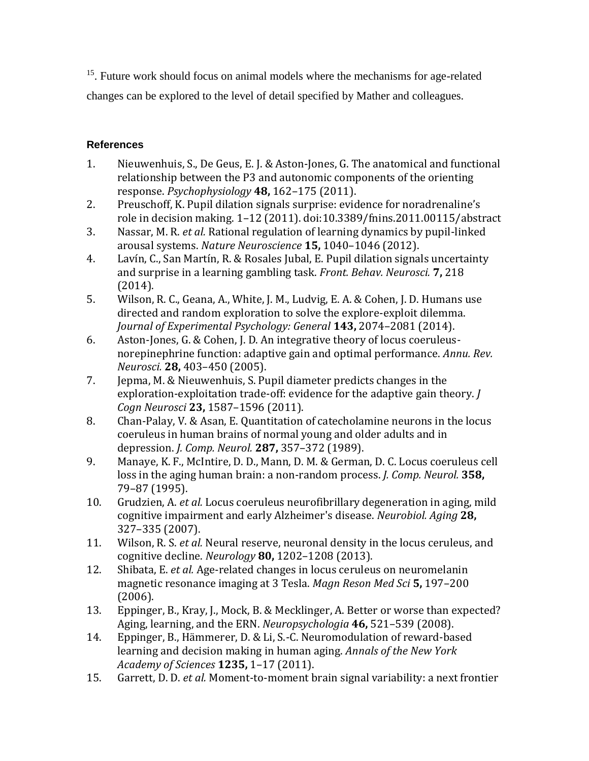<sup>15</sup>. Future work should focus on animal models where the mechanisms for age-related changes can be explored to the level of detail specified by Mather and colleagues.

## **References**

- 1. Nieuwenhuis, S., De Geus, E. J. & Aston-Jones, G. The anatomical and functional relationship between the P3 and autonomic components of the orienting response. *Psychophysiology* **48,** 162–175 (2011).
- 2. Preuschoff, K. Pupil dilation signals surprise: evidence for noradrenaline's role in decision making. 1–12 (2011). doi:10.3389/fnins.2011.00115/abstract
- 3. Nassar, M. R. *et al.* Rational regulation of learning dynamics by pupil-linked arousal systems. *Nature Neuroscience* **15,** 1040–1046 (2012).
- 4. Lavín, C., San Martín, R. & Rosales Jubal, E. Pupil dilation signals uncertainty and surprise in a learning gambling task. *Front. Behav. Neurosci.* **7,** 218 (2014).
- 5. Wilson, R. C., Geana, A., White, J. M., Ludvig, E. A. & Cohen, J. D. Humans use directed and random exploration to solve the explore-exploit dilemma. *Journal of Experimental Psychology: General* **143,** 2074–2081 (2014).
- 6. Aston-Jones, G. & Cohen, J. D. An integrative theory of locus coeruleusnorepinephrine function: adaptive gain and optimal performance. *Annu. Rev. Neurosci.* **28,** 403–450 (2005).
- 7. Jepma, M. & Nieuwenhuis, S. Pupil diameter predicts changes in the exploration-exploitation trade-off: evidence for the adaptive gain theory. *J Cogn Neurosci* **23,** 1587–1596 (2011).
- 8. Chan-Palay, V. & Asan, E. Quantitation of catecholamine neurons in the locus coeruleus in human brains of normal young and older adults and in depression. *J. Comp. Neurol.* **287,** 357–372 (1989).
- 9. Manaye, K. F., McIntire, D. D., Mann, D. M. & German, D. C. Locus coeruleus cell loss in the aging human brain: a non-random process. *J. Comp. Neurol.* **358,** 79–87 (1995).
- 10. Grudzien, A. *et al.* Locus coeruleus neurofibrillary degeneration in aging, mild cognitive impairment and early Alzheimer's disease. *Neurobiol. Aging* **28,** 327–335 (2007).
- 11. Wilson, R. S. *et al.* Neural reserve, neuronal density in the locus ceruleus, and cognitive decline. *Neurology* **80,** 1202–1208 (2013).
- 12. Shibata, E. *et al.* Age-related changes in locus ceruleus on neuromelanin magnetic resonance imaging at 3 Tesla. *Magn Reson Med Sci* **5,** 197–200 (2006).
- 13. Eppinger, B., Kray, J., Mock, B. & Mecklinger, A. Better or worse than expected? Aging, learning, and the ERN. *Neuropsychologia* **46,** 521–539 (2008).
- 14. Eppinger, B., Hämmerer, D. & Li, S.-C. Neuromodulation of reward-based learning and decision making in human aging. *Annals of the New York Academy of Sciences* **1235,** 1–17 (2011).
- 15. Garrett, D. D. *et al.* Moment-to-moment brain signal variability: a next frontier